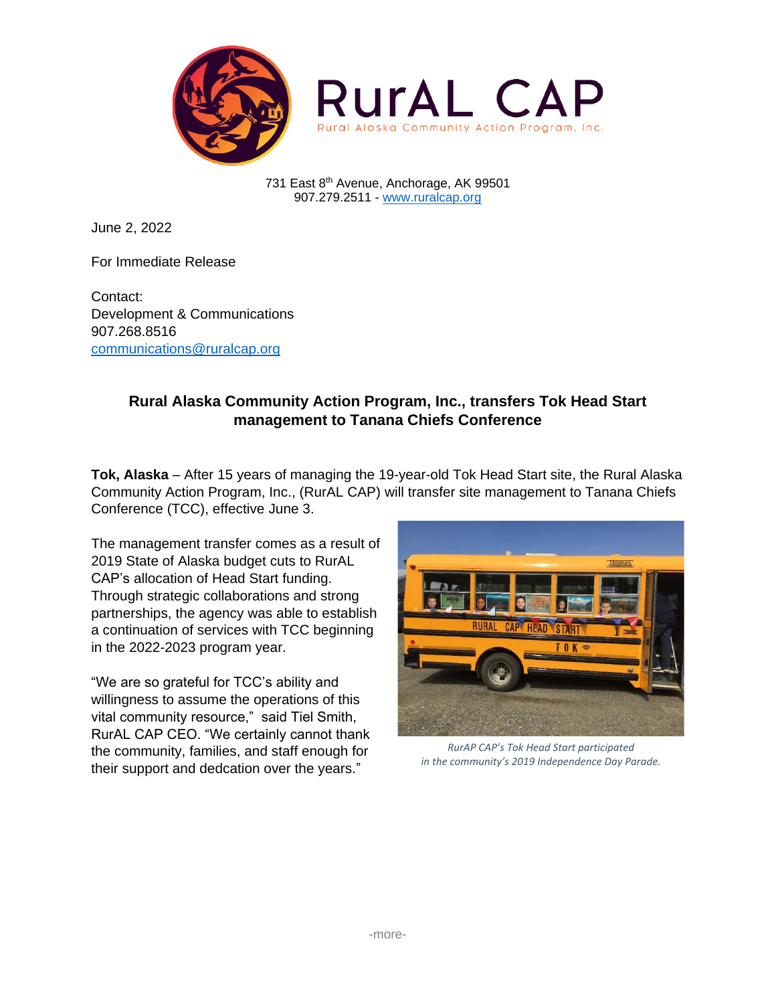

731 East 8th Avenue, Anchorage, AK 99501 907.279.2511 - [www.ruralcap.org](http://www.ruralcap.org/)

June 2, 2022

For Immediate Release

Contact: Development & Communications 907.268.8516 [communications@ruralcap.org](mailto:communications@ruralcap.org)

## **Rural Alaska Community Action Program, Inc., transfers Tok Head Start management to Tanana Chiefs Conference**

**Tok, Alaska** – After 15 years of managing the 19-year-old Tok Head Start site, the Rural Alaska Community Action Program, Inc., (RurAL CAP) will transfer site management to Tanana Chiefs Conference (TCC), effective June 3.

The management transfer comes as a result of 2019 State of Alaska budget cuts to RurAL CAP's allocation of Head Start funding. Through strategic collaborations and strong partnerships, the agency was able to establish a continuation of services with TCC beginning in the 2022-2023 program year.

"We are so grateful for TCC's ability and willingness to assume the operations of this vital community resource," said Tiel Smith, RurAL CAP CEO. "We certainly cannot thank the community, families, and staff enough for their support and dedcation over the years."



*RurAP CAP's Tok Head Start participated in the community's 2019 Independence Day Parade.*